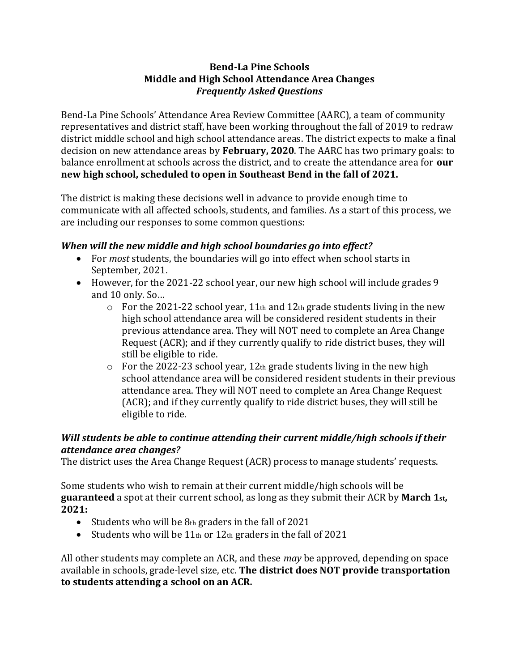#### **Bend-La Pine Schools Middle and High School Attendance Area Changes** *Frequently Asked Questions*

Bend-La Pine Schools' Attendance Area Review Committee (AARC), a team of community representatives and district staff, have been working throughout the fall of 2019 to redraw district middle school and high school attendance areas. The district expects to make a final decision on new attendance areas by **February, 2020**. The AARC has two primary goals: to balance enrollment at schools across the district, and to create the attendance area for **our new high school, scheduled to open in Southeast Bend in the fall of 2021.** 

The district is making these decisions well in advance to provide enough time to communicate with all affected schools, students, and families. As a start of this process, we are including our responses to some common questions:

# *When will the new middle and high school boundaries go into effect?*

- For *most* students, the boundaries will go into effect when school starts in September, 2021.
- However, for the 2021-22 school year, our new high school will include grades 9 and 10 only. So…
	- $\circ$  For the 2021-22 school year, 11<sup>th</sup> and 12<sup>th</sup> grade students living in the new high school attendance area will be considered resident students in their previous attendance area. They will NOT need to complete an Area Change Request (ACR); and if they currently qualify to ride district buses, they will still be eligible to ride.
	- $\circ$  For the 2022-23 school year, 12th grade students living in the new high school attendance area will be considered resident students in their previous attendance area. They will NOT need to complete an Area Change Request (ACR); and if they currently qualify to ride district buses, they will still be eligible to ride.

# *Will students be able to continue attending their current middle/high schools if their attendance area changes?*

The district uses the Area Change Request (ACR) process to manage students' requests.

Some students who wish to remain at their current middle/high schools will be **guaranteed** a spot at their current school, as long as they submit their ACR by **March 1st, 2021:**

- Students who will be 8th graders in the fall of 2021
- Students who will be  $11<sub>th</sub>$  or  $12<sub>th</sub>$  graders in the fall of 2021

All other students may complete an ACR, and these *may* be approved, depending on space available in schools, grade-level size, etc. **The district does NOT provide transportation to students attending a school on an ACR.**